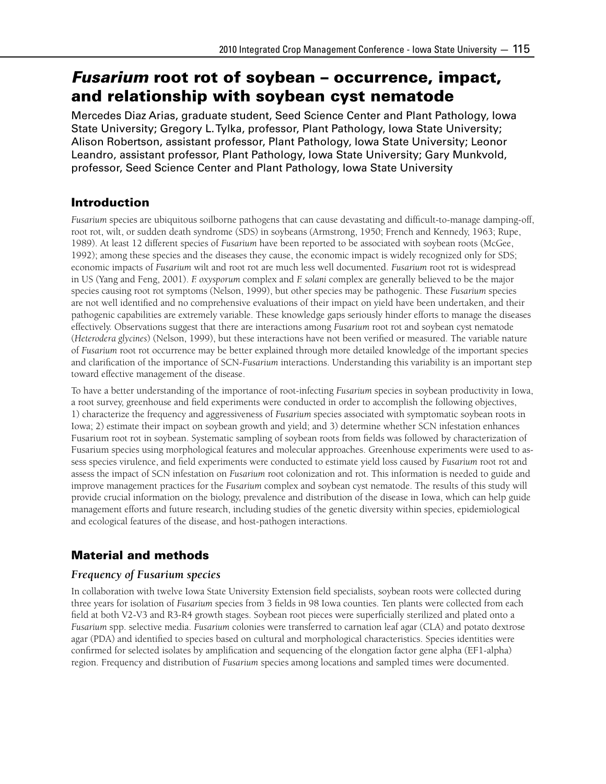# *Fusarium* root rot of soybean – occurrence, impact, and relationship with soybean cyst nematode

Mercedes Diaz Arias, graduate student, Seed Science Center and Plant Pathology, Iowa State University; Gregory L. Tylka, professor, Plant Pathology, Iowa State University; Alison Robertson, assistant professor, Plant Pathology, Iowa State University; Leonor Leandro, assistant professor, Plant Pathology, Iowa State University; Gary Munkvold, professor, Seed Science Center and Plant Pathology, Iowa State University

# Introduction

*Fusarium* species are ubiquitous soilborne pathogens that can cause devastating and difficult-to-manage damping-off, root rot, wilt, or sudden death syndrome (SDS) in soybeans (Armstrong, 1950; French and Kennedy, 1963; Rupe, 1989). At least 12 different species of *Fusarium* have been reported to be associated with soybean roots (McGee, 1992); among these species and the diseases they cause, the economic impact is widely recognized only for SDS; economic impacts of *Fusarium* wilt and root rot are much less well documented. *Fusarium* root rot is widespread in US (Yang and Feng, 2001). *F. oxysporum* complex and *F. solani* complex are generally believed to be the major species causing root rot symptoms (Nelson, 1999), but other species may be pathogenic. These *Fusarium* species are not well identified and no comprehensive evaluations of their impact on yield have been undertaken, and their pathogenic capabilities are extremely variable. These knowledge gaps seriously hinder efforts to manage the diseases effectively. Observations suggest that there are interactions among *Fusarium* root rot and soybean cyst nematode (*Heterodera glycines*) (Nelson, 1999), but these interactions have not been verified or measured. The variable nature of *Fusarium* root rot occurrence may be better explained through more detailed knowledge of the important species and clarification of the importance of SCN-*Fusarium* interactions. Understanding this variability is an important step toward effective management of the disease.

To have a better understanding of the importance of root-infecting *Fusarium* species in soybean productivity in Iowa, a root survey, greenhouse and field experiments were conducted in order to accomplish the following objectives, 1) characterize the frequency and aggressiveness of *Fusarium* species associated with symptomatic soybean roots in Iowa; 2) estimate their impact on soybean growth and yield; and 3) determine whether SCN infestation enhances Fusarium root rot in soybean. Systematic sampling of soybean roots from fields was followed by characterization of Fusarium species using morphological features and molecular approaches. Greenhouse experiments were used to assess species virulence, and field experiments were conducted to estimate yield loss caused by *Fusarium* root rot and assess the impact of SCN infestation on *Fusarium* root colonization and rot. This information is needed to guide and improve management practices for the *Fusarium* complex and soybean cyst nematode. The results of this study will provide crucial information on the biology, prevalence and distribution of the disease in Iowa, which can help guide management efforts and future research, including studies of the genetic diversity within species, epidemiological and ecological features of the disease, and host-pathogen interactions.

# Material and methods

### *Frequency of Fusarium species*

In collaboration with twelve Iowa State University Extension field specialists, soybean roots were collected during three years for isolation of *Fusarium* species from 3 fields in 98 Iowa counties. Ten plants were collected from each field at both V2-V3 and R3-R4 growth stages. Soybean root pieces were superficially sterilized and plated onto a *Fusarium* spp. selective media. *Fusarium* colonies were transferred to carnation leaf agar (CLA) and potato dextrose agar (PDA) and identified to species based on cultural and morphological characteristics. Species identities were confirmed for selected isolates by amplification and sequencing of the elongation factor gene alpha (EF1-alpha) region. Frequency and distribution of *Fusarium* species among locations and sampled times were documented.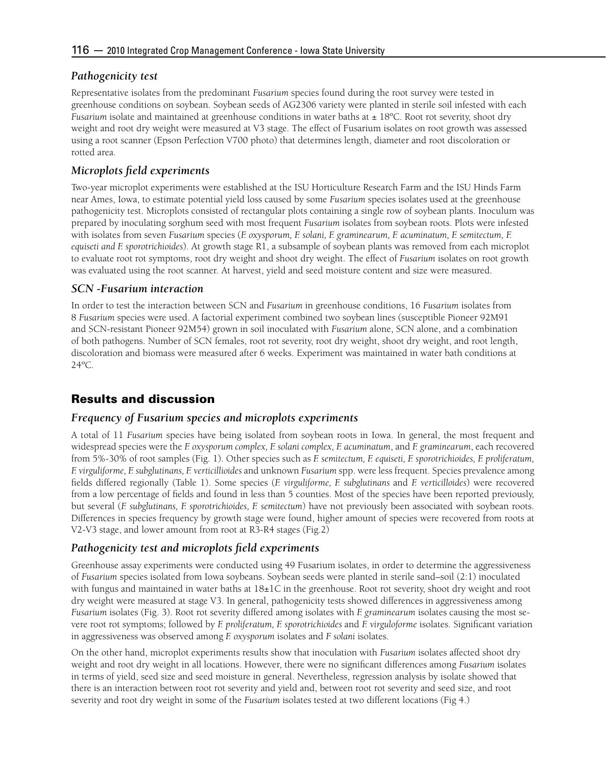#### *Pathogenicity test*

Representative isolates from the predominant *Fusarium* species found during the root survey were tested in greenhouse conditions on soybean. Soybean seeds of AG2306 variety were planted in sterile soil infested with each *Fusarium* isolate and maintained at greenhouse conditions in water baths at  $\pm 18^{\circ}$ C. Root rot severity, shoot dry weight and root dry weight were measured at V3 stage. The effect of Fusarium isolates on root growth was assessed using a root scanner (Epson Perfection V700 photo) that determines length, diameter and root discoloration or rotted area.

### *Microplots field experiments*

Two-year microplot experiments were established at the ISU Horticulture Research Farm and the ISU Hinds Farm near Ames, Iowa, to estimate potential yield loss caused by some *Fusarium* species isolates used at the greenhouse pathogenicity test. Microplots consisted of rectangular plots containing a single row of soybean plants. Inoculum was prepared by inoculating sorghum seed with most frequent *Fusarium* isolates from soybean roots. Plots were infested with isolates from seven *Fusarium* species (*F. oxysporum, F. solani, F. graminearum, F. acuminatum, F. semitectum, F. equiseti and F. sporotrichioides*). At growth stage R1, a subsample of soybean plants was removed from each microplot to evaluate root rot symptoms, root dry weight and shoot dry weight. The effect of *Fusarium* isolates on root growth was evaluated using the root scanner. At harvest, yield and seed moisture content and size were measured.

#### *SCN -Fusarium interaction*

In order to test the interaction between SCN and *Fusarium* in greenhouse conditions, 16 *Fusarium* isolates from 8 *Fusarium* species were used. A factorial experiment combined two soybean lines (susceptible Pioneer 92M91 and SCN-resistant Pioneer 92M54) grown in soil inoculated with *Fusarium* alone, SCN alone, and a combination of both pathogens. Number of SCN females, root rot severity, root dry weight, shoot dry weight, and root length, discoloration and biomass were measured after 6 weeks. Experiment was maintained in water bath conditions at 24ºC.

## Results and discussion

#### *Frequency of Fusarium species and microplots experiments*

A total of 11 *Fusarium* species have being isolated from soybean roots in Iowa. In general, the most frequent and widespread species were the *F. oxysporum complex, F. solani complex, F. acuminatum*, and *F. graminearum*, each recovered from 5%-30% of root samples (Fig. 1). Other species such as *F. semitectum, F. equiseti, F. sporotrichioides, F. proliferatum, F. virguliforme, F. subglutinans, F. verticillioides* and unknown *Fusarium* spp. were less frequent. Species prevalence among fields differed regionally (Table 1). Some species (*F. virguliforme, F. subglutinans* and *F. verticilloides*) were recovered from a low percentage of fields and found in less than 5 counties. Most of the species have been reported previously, but several (*F. subglutinans, F. sporotrichioides, F. semitectum*) have not previously been associated with soybean roots. Differences in species frequency by growth stage were found, higher amount of species were recovered from roots at V2-V3 stage, and lower amount from root at R3-R4 stages (Fig.2)

#### *Pathogenicity test and microplots field experiments*

Greenhouse assay experiments were conducted using 49 Fusarium isolates, in order to determine the aggressiveness of *Fusarium* species isolated from Iowa soybeans. Soybean seeds were planted in sterile sand–soil (2:1) inoculated with fungus and maintained in water baths at  $18\pm1$ C in the greenhouse. Root rot severity, shoot dry weight and root dry weight were measured at stage V3. In general, pathogenicity tests showed differences in aggressiveness among *Fusarium* isolates (Fig. 3). Root rot severity differed among isolates with *F. graminearum* isolates causing the most severe root rot symptoms; followed by *F. proliferatum, F. sporotrichioides* and *F. virguloforme* isolates. Significant variation in aggressiveness was observed among *F. oxysporum* isolates and *F solani* isolates.

On the other hand, microplot experiments results show that inoculation with *Fusarium* isolates affected shoot dry weight and root dry weight in all locations. However, there were no significant differences among *Fusarium* isolates in terms of yield, seed size and seed moisture in general. Nevertheless, regression analysis by isolate showed that there is an interaction between root rot severity and yield and, between root rot severity and seed size, and root severity and root dry weight in some of the *Fusarium* isolates tested at two different locations (Fig 4.)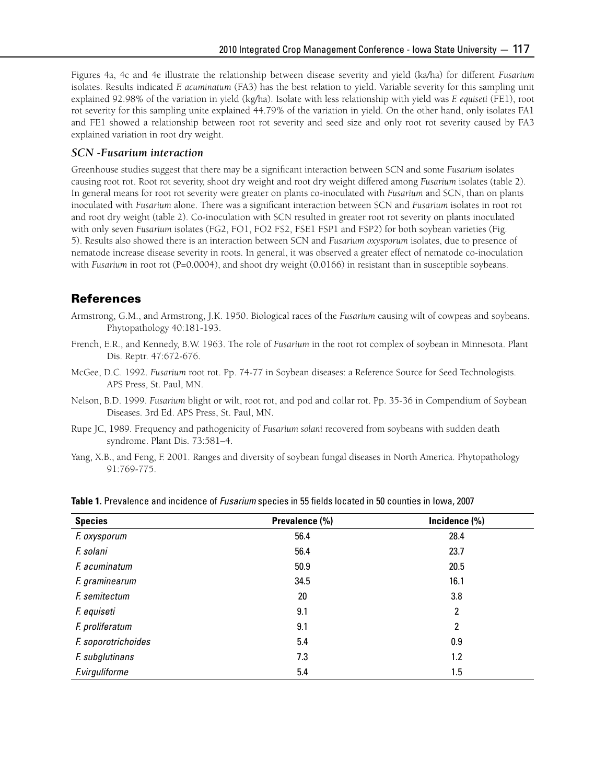Figures 4a, 4c and 4e illustrate the relationship between disease severity and yield (ka/ha) for different *Fusarium* isolates. Results indicated *F. acuminatum* (FA3) has the best relation to yield. Variable severity for this sampling unit explained 92.98% of the variation in yield (kg/ha). Isolate with less relationship with yield was *F. equiseti* (FE1), root rot severity for this sampling unite explained 44.79% of the variation in yield. On the other hand, only isolates FA1 and FE1 showed a relationship between root rot severity and seed size and only root rot severity caused by FA3 explained variation in root dry weight.

#### *SCN -Fusarium interaction*

Greenhouse studies suggest that there may be a significant interaction between SCN and some *Fusarium* isolates causing root rot. Root rot severity, shoot dry weight and root dry weight differed among *Fusarium* isolates (table 2). In general means for root rot severity were greater on plants co-inoculated with *Fusarium* and SCN, than on plants inoculated with *Fusarium* alone. There was a significant interaction between SCN and *Fusarium* isolates in root rot and root dry weight (table 2). Co-inoculation with SCN resulted in greater root rot severity on plants inoculated with only seven *Fusarium* isolates (FG2, FO1, FO2 FS2, FSE1 FSP1 and FSP2) for both soybean varieties (Fig. 5). Results also showed there is an interaction between SCN and *Fusarium oxysporum* isolates, due to presence of nematode increase disease severity in roots. In general, it was observed a greater effect of nematode co-inoculation with *Fusarium* in root rot (P=0.0004), and shoot dry weight (0.0166) in resistant than in susceptible soybeans.

#### References

- Armstrong, G.M., and Armstrong, J.K. 1950. Biological races of the *Fusarium* causing wilt of cowpeas and soybeans. Phytopathology 40:181-193.
- French, E.R., and Kennedy, B.W. 1963. The role of *Fusarium* in the root rot complex of soybean in Minnesota. Plant Dis. Reptr. 47:672-676.
- McGee, D.C. 1992. *Fusarium* root rot. Pp. 74-77 in Soybean diseases: a Reference Source for Seed Technologists. APS Press, St. Paul, MN.
- Nelson, B.D. 1999. *Fusarium* blight or wilt, root rot, and pod and collar rot. Pp. 35-36 in Compendium of Soybean Diseases. 3rd Ed. APS Press, St. Paul, MN.
- Rupe JC, 1989. Frequency and pathogenicity of *Fusarium solani* recovered from soybeans with sudden death syndrome. Plant Dis. 73:581–4.
- Yang, X.B., and Feng, F. 2001. Ranges and diversity of soybean fungal diseases in North America. Phytopathology 91:769-775.

| <b>Species</b>        | Prevalence (%) | Incidence (%) |
|-----------------------|----------------|---------------|
| F. oxysporum          | 56.4           | 28.4          |
| F. solani             | 56.4           | 23.7          |
| F. acuminatum         | 50.9           | 20.5          |
| F. graminearum        | 34.5           | 16.1          |
| F. semitectum         | 20             | 3.8           |
| F. equiseti           | 9.1            | 2             |
| F. proliferatum       | 9.1            | 2             |
| F. soporotrichoides   | 5.4            | 0.9           |
| F. subglutinans       | 7.3            | 1.2           |
| <b>F.virguliforme</b> | 5.4            | 1.5           |

**Table 1.** Prevalence and incidence of *Fusarium* species in 55 fields located in 50 counties in Iowa, 2007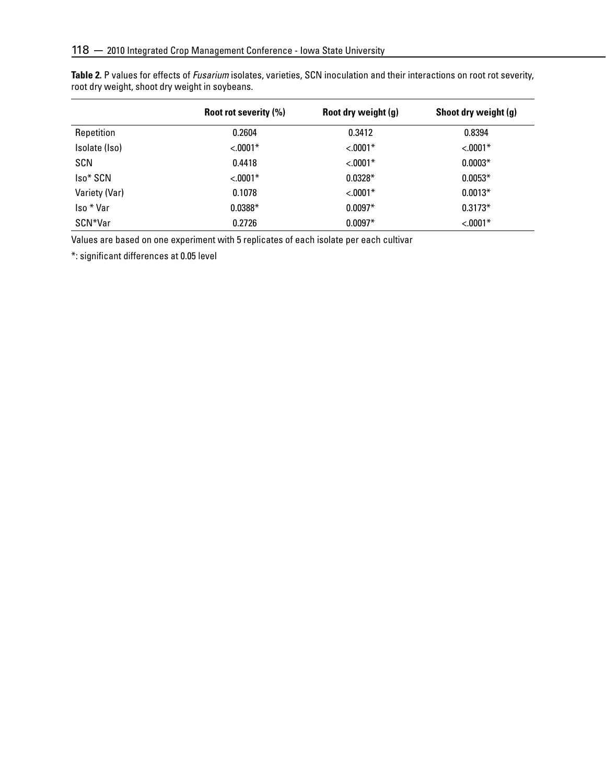|               | Root rot severity (%) | Root dry weight (g) | Shoot dry weight (g) |
|---------------|-----------------------|---------------------|----------------------|
| Repetition    | 0.2604                | 0.3412              | 0.8394               |
| Isolate (Iso) | $< 0.001*$            | $< 0.001*$          | $< 0.001*$           |
| <b>SCN</b>    | 0.4418                | $< 0.001*$          | $0.0003*$            |
| Iso* SCN      | $< 0.001*$            | $0.0328*$           | $0.0053*$            |
| Variety (Var) | 0.1078                | $< 0.001*$          | $0.0013*$            |
| Iso * Var     | $0.0388*$             | $0.0097*$           | $0.3173*$            |
| SCN*Var       | 0.2726                | $0.0097*$           | $< 0.001*$           |

**Table 2.** P values for effects of *Fusarium* isolates, varieties, SCN inoculation and their interactions on root rot severity, root dry weight, shoot dry weight in soybeans.

Values are based on one experiment with 5 replicates of each isolate per each cultivar

\*: significant differences at 0.05 level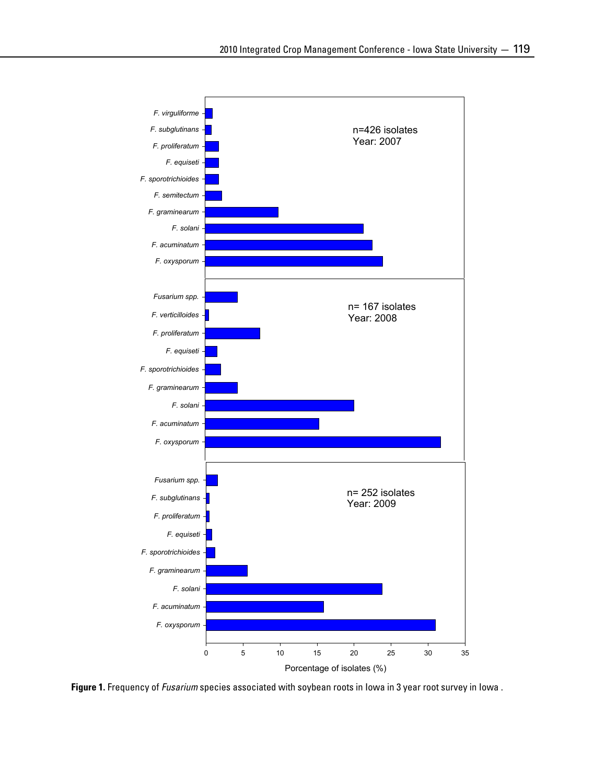

**Figure 1.** Frequency of *Fusarium* species associated with soybean roots in Iowa in 3 year root survey in Iowa .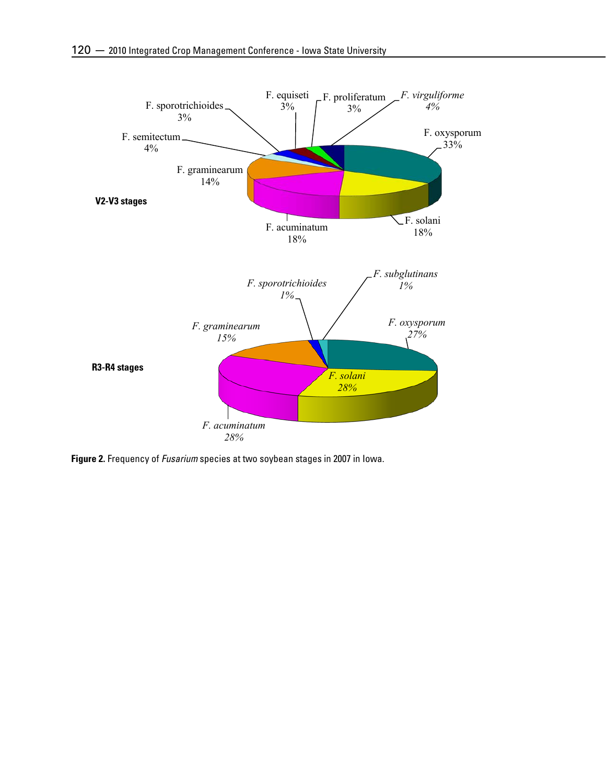

**Figure 2.** Frequency of *Fusarium* species at two soybean stages in 2007 in Iowa.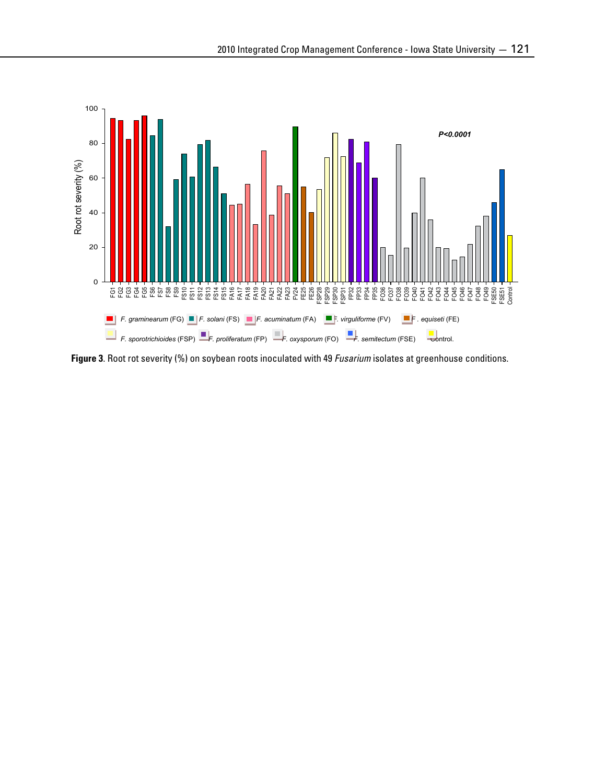

**Figure 3**. Root rot severity (%) on soybean roots inoculated with 49 *Fusarium* isolates at greenhouse conditions.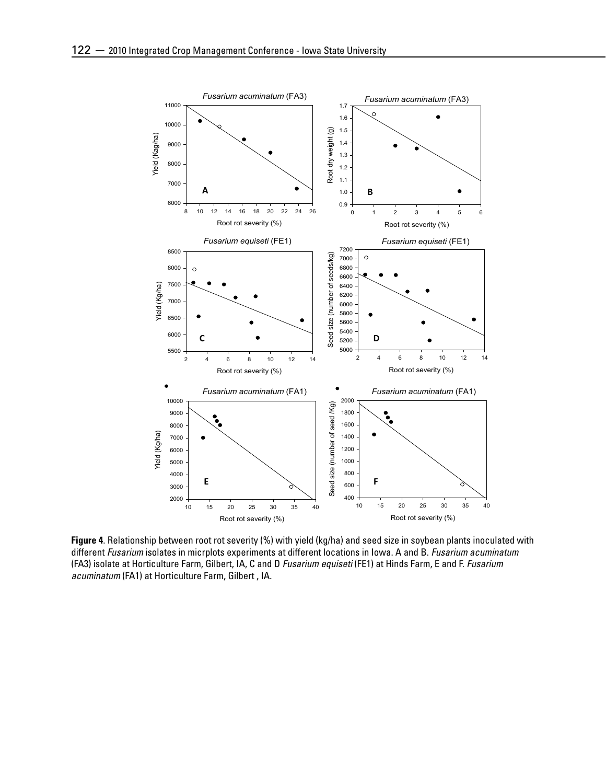

**Figure 4**. Relationship between root rot severity (%) with yield (kg/ha) and seed size in soybean plants inoculated with different *Fusarium* isolates in micrplots experiments at different locations in Iowa. A and B. *Fusarium acuminatum* (FA3) isolate at Horticulture Farm, Gilbert, IA, C and D *Fusarium equiseti* (FE1) at Hinds Farm, E and F. *Fusarium acuminatum* (FA1) at Horticulture Farm, Gilbert , IA.